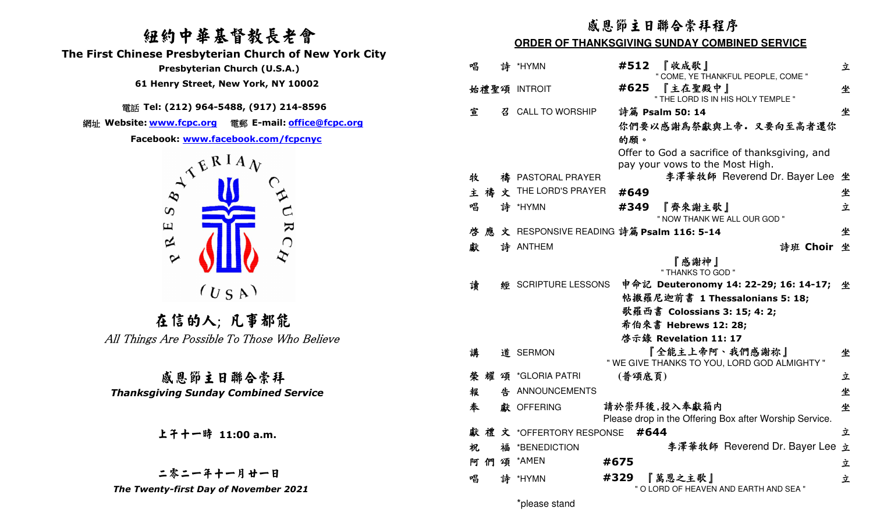# 紐約中華基督教長老會

 **The First Chinese Presbyterian Church of New York City** 

 **Presbyterian Church (U.S.A.)** 

 **61 Henry Street, New York, NY 10002**

# 電話 **Tel: (212) 964-5488, (917) 214-8596**

網址 **Website: www.fcpc.org** 電郵 **E-mail: office@fcpc.org**



在信的人; 凡事都能All Things Are Possible To Those Who Believe

感恩節主日聯合崇拜 *Thanksgiving Sunday Combined Service* 

# 上午十一時 **11:00 a.m.**

二零二一年十一月廿一日 *The Twenty-first Day of November 2021* 

## 感恩節主日聯合崇拜程序

#### **ORDER OF THANKSGIVING SUNDAY COMBINED SERVICE**

| 唱 |    |    | 詩 *HYMN                    | 『收成歌』<br>#512<br>" COME, YE THANKFUL PEOPLE, COME "    | 立 |
|---|----|----|----------------------------|--------------------------------------------------------|---|
|   |    |    | 始禮聖頌 INTROIT               | 『主在聖殿中』<br>#625<br>" THE LORD IS IN HIS HOLY TEMPLE "  | 坐 |
| 宣 |    |    | 召 CALL TO WORSHIP          | 詩篇 Psalm 50: 14                                        | 坐 |
|   |    |    |                            | 你們要以感謝為祭獻與上帝。又要向至高者還你                                  |   |
|   |    |    |                            | 的願。                                                    |   |
|   |    |    |                            | Offer to God a sacrifice of thanksgiving, and          |   |
|   |    |    |                            | pay your vows to the Most High.                        |   |
| 牧 |    |    | 禱 PASTORAL PRAYER          | 李澤華牧師 Reverend Dr. Bayer Lee                           | 坐 |
| 主 |    | 禱文 | THE LORD'S PRAYER          | #649                                                   | 坐 |
| 唱 |    |    | 詩 *HYMN                    | 『齊來謝主歌』<br>#349                                        | 立 |
|   |    |    |                            | " NOW THANK WE ALL OUR GOD "                           |   |
| 啓 |    |    |                            | 應 文 RESPONSIVE READING 詩篇 Psalm 116: 5-14              | 坐 |
| 獻 |    |    | 詩 ANTHEM                   | 詩班 Choir 坐                                             |   |
|   |    |    |                            | 『感謝神』<br>" THANKS TO GOD "                             |   |
| 讀 |    |    | <b>經 SCRIPTURE LESSONS</b> | 申命記 Deuteronomy 14: 22-29; 16: 14-17;                  | 坐 |
|   |    |    |                            | 帖撒羅尼迦前書 1 Thessalonians 5: 18;                         |   |
|   |    |    |                            | 歌羅西書 Colossians 3: 15; 4: 2;                           |   |
|   |    |    |                            |                                                        |   |
|   |    |    |                            | 希伯來書 Hebrews 12: 28;                                   |   |
|   |    |    |                            | 啓示錄 Revelation 11: 17                                  |   |
| 講 |    |    | 道 SERMON                   | 『全能主上帝阿、我們感謝祢』                                         | 坐 |
|   |    |    |                            | " WE GIVE THANKS TO YOU, LORD GOD ALMIGHTY "           |   |
| 榮 |    |    | 耀 頌 *GLORIA PATRI          | (普頌底頁)                                                 | 立 |
| 報 |    |    | 告 ANNOUNCEMENTS            |                                                        | 坐 |
| 奉 |    |    | 獻 OFFERING                 | 請於崇拜後,投入奉獻箱内                                           | 坐 |
|   |    |    |                            | Please drop in the Offering Box after Worship Service. |   |
|   |    |    | 獻禮文 *OFFERTORY RESPONSE    | #644                                                   | 立 |
| 祝 |    | 福  | *BENEDICTION               | 李澤華牧師 Reverend Dr. Bayer Lee                           | 立 |
|   | 阿們 | 頌  | *AMEN                      | #675                                                   | 立 |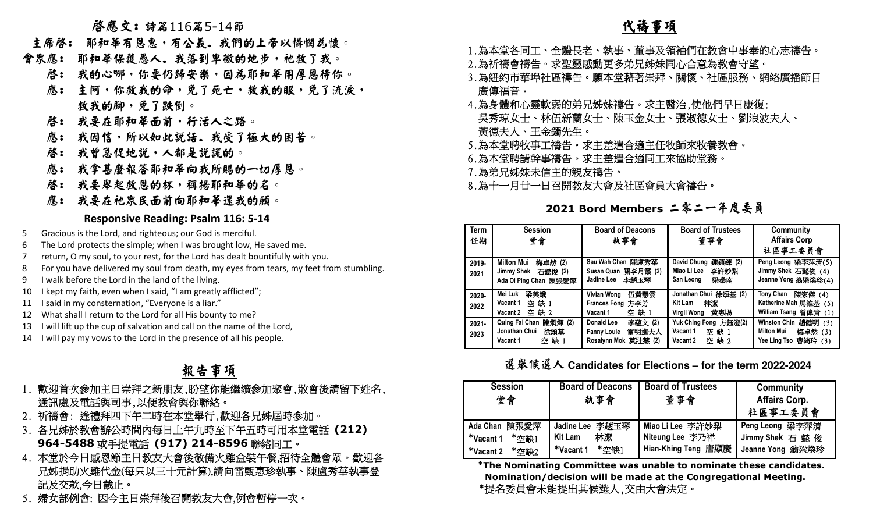# 啟應文: 詩篇<sup>116</sup>篇5-14節

- 主席啓: 耶和華有恩惠,有公義。我們的上帝以憐憫為懷。
- 會眾應: 耶和華保護愚人。我落到卑微的地步,祂救了我。
- 啓: 我的心哪,你要仍歸安樂,因為耶和華用厚恩待你。
- 應: 主阿,你救我的命,免了死亡,救我的眼,免了流淚, 救我的腳,免了跌倒。
- 啓: 我要在耶和華面前,行活人之路。
- 應: 我因信,所以如此說話.我受了極大的困苦。
	- 啓: 我曾急促地說,人都是說謊的。
- 應: 我拿甚麼報答耶和華向我所賜的一切厚恩。
	- 啓: 我要舉起救恩的杯,稱楊耶和華的名。
- 應: 我要在祂眾民面前向耶和華還我的願。

## **Responsive Reading: Psalm 116: 5-14**

- 5 Gracious is the Lord, and righteous; our God is merciful.
- 6 The Lord protects the simple; when I was brought low, He saved me.
- 7 return, O my soul, to your rest, for the Lord has dealt bountifully with you.
- 8 For you have delivered my soul from death, my eyes from tears, my feet from stumbling.
- 9 I walk before the Lord in the land of the living.
- 10 I kept my faith, even when I said, "I am greatly afflicted";
- 11 I said in my consternation, "Everyone is a liar."
- 12 What shall I return to the Lord for all His bounty to me?
- 13 I will lift up the cup of salvation and call on the name of the Lord,
- 14 I will pay my vows to the Lord in the presence of all his people.

# 報告事項

- 1. 歡迎首次參加主日崇拜之新朋友,盼望你能繼續參加聚會,散會後請留下姓名, 通訊處及電話與司事,以便教會與你聯絡。
- 2. 祈禱會: 逢禮拜四下午二時在本堂舉行,歡迎各兄姊屆時參加。
- 3. 各兄姊於教會辦公時間內每日上午九時至下午五時可用本堂電話 **(212) 964-5488**或手提電話 **(917) 214-8596**聯絡同工。
- 4. 本堂於今日感恩節主日教友大會後敬備火雞盒裝午餐,招待全體會眾。歡迎各 兄姊捐助火雞代金(每只以三十元計算),請向雷甄惠珍執事、陳盧秀華執事登 記及交款,今日截止。
- 5. 婦女部例會: 因今主日崇拜後召開教友大會,例會暫停一次。

# **不过的人 化祷事项**

- 1.為本堂各同工、全體長老、執事、董事及領袖們在教會中事奉的心志禱告。
- 2.為祈禱會禱告。求聖靈感動更多弟兄姊妹同心合意為教會守望。
- 3.為紐約市華埠社區禱告。願本堂藉著崇拜、關懷、社區服務、網絡廣播節目 廣傳福音。
- 4.為身體和心靈軟弱的弟兄姊妹禱告。求主醫治,使他們早日康復: 吳秀琼女士、林伍新蘭女士、陳玉金女士、張淑德女士、劉浪波夫人、 黃德夫人、王金鐲先生。
- 5.為本堂聘牧事工禱告。求主差遣合適主任牧師來牧養教會。
- 6.為本堂聘請幹事禱告。求主差遣合適同工來協助堂務。
- 7.為弟兄姊妹未信主的親友禱告。
- 8.為十一月廿一日召開教友大會及社區會員大會禱告。

**2021 Bord Members** 二零二一年度委員

| <b>Term</b><br>任期 | <b>Session</b><br>堂會                                                 | <b>Board of Deacons</b><br>執事會                                              | <b>Board of Trustees</b><br>董事會                                   | Community<br><b>Affairs Corp</b><br>社區事工委員會                                     |
|-------------------|----------------------------------------------------------------------|-----------------------------------------------------------------------------|-------------------------------------------------------------------|---------------------------------------------------------------------------------|
| 2019-<br>2021     | Milton Mui<br>梅卓然 (2)<br>Jimmy Shek 石懿俊 (2)<br>Ada Oi Ping Chan 陳張愛萍 | Sau Wah Chan 陳盧秀華<br>Susan Quan 關李月霞 (2)<br>Jadine Lee 李謝玉琴                 | David Chung<br>鍾鎮練 (2)<br>李許妙梨<br>Miao Li Lee<br>梁桑南<br>San Leong | Peng Leong 梁李萍清(5)<br>Jimmy Shek 石懿俊 (4)<br>Jeanne Yong 翁梁煥珍(4)                 |
| 2020-<br>2022     | Mei Luk<br>梁美娥<br>空缺1<br>Vacant 1<br>空缺 2<br>Vacant 2                | 伍黃慧雲<br>Vivian Wong<br>Frances Fong 方李芳<br>空缺1<br>Vacant 1                  | Jonathan Chui 徐頌基 (2)<br>林潔<br>Kit Lam<br>黃惠賜<br>Virgil Wong      | <b>Tony Chan</b><br>陳家傑 (4)<br>Katherine Mah 馬維基 (5)<br>William Tsang 曾偉青 (1)   |
| $2021 -$<br>2023  | 陳烱煇 (2)<br>Quing Fai Chan<br>Jonathan Chui<br>徐頌基<br>空缺1<br>Vacant 1 | 李蘊文(2)<br>Donald Lee<br>雷明進夫人<br><b>Fanny Louie</b><br>Rosalynn Mok 莫壯慧 (2) | Yuk Ching Fong 方鈺澄(2)<br>Vacant 1<br>空缺1<br>空缺 2<br>Vacant 2      | <b>Winston Chin</b><br>趙健明 (3)<br>Milton Mui<br>梅卓然 (3)<br>Yee Ling Tso 曹綺玲 (3) |

選舉候選人 **Candidates for Elections – for the term 2022-2024**

| <b>Session</b><br>堂會                                    | <b>Board of Deacons</b><br>執事會                                         | <b>Board of Trustees</b><br>董事會                            | Community<br><b>Affairs Corp.</b><br>社區事工委員會            |
|---------------------------------------------------------|------------------------------------------------------------------------|------------------------------------------------------------|---------------------------------------------------------|
| Ada Chan 陳張愛萍<br>*Vacant 1<br>*空缺1<br>*Vacant 2<br>*空缺2 | 李趙玉琴<br><b>Jadine Lee</b><br>林潔<br><b>Kit Lam</b><br>*空缺1<br>*Vacant 1 | Miao Li Lee 李許妙梨<br>Niteung Lee 李乃祥<br>Hian-Khing Teng 唐顯慶 | Peng Leong 梁李萍清<br>Jimmy Shek 石 懿 俊<br>Jeanne Yong 翁梁煥珍 |

  **\*The Nominating Committee was unable to nominate these candidates. Nomination/decision will be made at the Congregational Meeting. \***提名委員會未能提出其候選人,交由大會決定。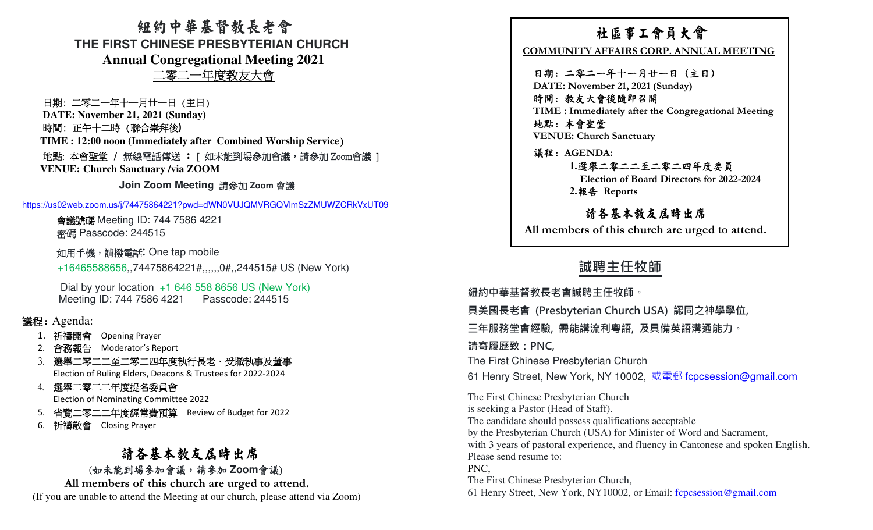紐約中華基督教長老會**THE FIRST CHINESE PRESBYTERIAN CHURCHAnnual Congregational Meeting 2021**二零二一年度教友大會

日期: 二零二一年十一月廿一日 (主日) **DATE: November 21, 2021 (Sunday)** 時間: 正午十二時 (聯合崇拜後**)**

**TIME : 12:00 noon (Immediately after Combined Worship Service**) 地點: 本會聖堂 / 無線電話傳送 **:** [ 如未能到場參加會議,請參加|地點: 本會聖堂 / 無線電話傳送 : [ 如未能到場參加會議 <sup>,</sup>請參加 Zoom會議 ]<br>VENUE: Church Sanctuary /via ZOOM **Church Sanctuary /via ZOOM** 

**Join Zoom Meeting** 請參加 **Zoom** 會議

https://us02web.zoom.us/j/74475864221?pwd=dWN0VUJQMVRGQVlmSzZMUWZCRkVxUT09

會議號碼 Meeting ID: 744 7586 4221<br>密碼 Basseede: 244515 密碼 Passcode: 244515

如用手機,請撥電話**:** One tap mobile

+16465588656,,74475864221#,,,,,,0#,,244515# US (New York)

Dial by your location +1 646 558 8656 US (New York)Meeting ID: 744 7586 4221 Passcode: 244515

## 議程: Agenda:

- 1. 祈禱開會 Opening Prayer<br>? <del>命致</del>超生 Mederater's Pe
- 2. 會務報告 Moderator's Report<br>? 選盟ニ零ニニズニ零ニ四年産
- 3. 選舉二零二二至二零二四年度執行長老、受職執事及董事Election of Ruling Elders, Deacons & Trustees for 2022-2024
- 4. 選舉二零二二年度提名委員會

Election of Nominating Committee 2022

- 5. 省覽二零二二年度經常費預算 Review of Budget for 2022
- 6. 祈禱散會 Closing Prayer

# 請各基本教友屆時出席 (如未能到場參加會議,請參加 **Zoom會**議)<br>vambore of this church are ureed to at

**All members of this church are urged to attend.** (If you are unable to attend the Meeting at our church, please attend via Zoom)

THE FIRST CHINESE PRESERVATED MATHEMATIC HE RELATION THE TRIST CHINESE PRESERVATED AND COMMUNITY ATTAINS CONTRACT THE RELATION AND INTERNATIONAL MITTING HE RELATION AND RELATION COMMUNITY ATTAINS CONTRACT AND INTERNATIONA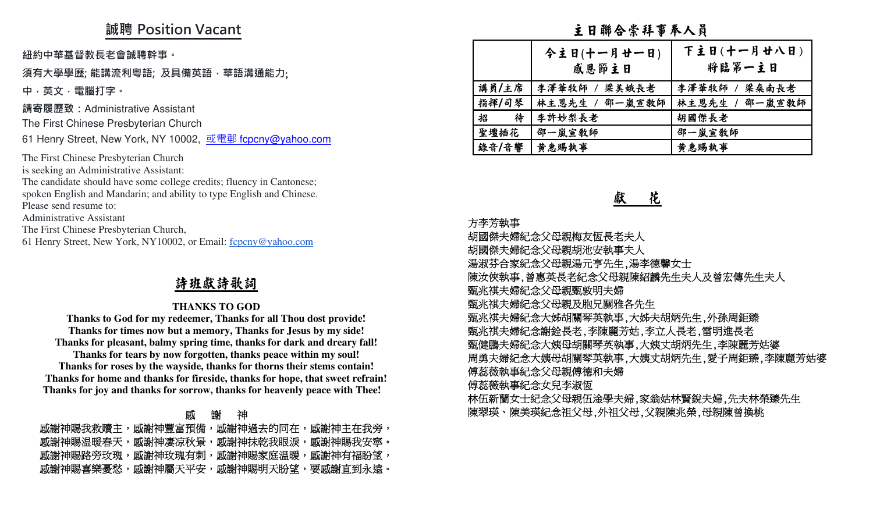## **誠聘 Position Vacant**

**紐約中華基督教⻑老會誠聘幹事。** 

### **須有大學學歷; 能講流利粵語; 及具備英語,華語溝通能力**;

**中,英文,電腦打字。**

**請寄履歷致:**Administrative Assistant

The First Chinese Presbyterian Church

61 Henry Street, New York, NY 10002, <u>或電郵 f<mark>cpcny@yahoo.com</mark></u>

The First Chinese Presbyterian Church is seeking an Administrative Assistant:

 The candidate should have some college credits; fluency in Cantonese; spoken English and Mandarin; and ability to type English and Chinese.

Please send resume to:

Administrative Assistant

The First Chinese Presbyterian Church,

61 Henry Street, New York, NY10002, or Email: fcpcny@yahoo.com

## 詩班獻詩歌詞

#### **THANKS TO GOD**

 **Thanks to God for my redeemer, Thanks for all Thou dost provide! Thanks for times now but a memory, Thanks for Jesus by my side! Thanks for pleasant, balmy spring time, thanks for dark and dreary fall! Thanks for tears by now forgotten, thanks peace within my soul! Thanks for roses by the wayside, thanks for thorns their stems contain! Thanks for home and thanks for fireside, thanks for hope, that sweet refrain! Thanks for joy and thanks for sorrow, thanks for heavenly peace with Thee!** 

|           | 厭       | 謝<br>神   |          |
|-----------|---------|----------|----------|
| 感謝神賜我救贖主, | 感謝神豐富預備 | 感謝神過去的同在 | 感謝神主在我旁, |
| 感謝神賜温暖春天  | 感謝神凄凉秋景 | 感謝神抹乾我眼淚 | 感謝神賜我安寧。 |
| 感謝神賜路旁玫瑰  | 感謝神玫瑰有刺 | 感謝神賜家庭温暖 | 感謝神有福盼望  |
| 感謝神賜喜樂憂愁  | 感謝神屬天平安 | 感謝神賜明天盼望 | 要感謝直到永遠。 |

## 主日聯合崇拜事奉人員

|        | 今主日(十一月廿一日)<br>感恩節主日 | 下主日(十一月廿八日)<br>将臨第一主日 |
|--------|----------------------|-----------------------|
| 講員/主席  | 李澤華牧師 / 梁美娥長老        | 李澤華牧師 / 梁桑南長老         |
| 指揮/司琴  | 林主恩先生 / 邵一嵐宣教師       | 林主恩先生 / 邵一嵐宣教師        |
| 招<br>待 | 李許妙梨長老               | 胡國傑長老                 |
| 聖壇插花   | 邵一嵐宣敎師               | 邵一嵐宣教師                |
| 錄音/音響  | 黄惠賜執事                | 黄惠賜執事                 |

## 獻 花

#### 方李芳執事

胡國傑夫婦紀念父母親梅友恆長老夫人

胡國傑夫婦紀念父母親胡池安執事夫人

湯淑芬合家紀念父母親湯元亨先生,湯李德馨女士

陳汝俠執事,曾惠英長老紀念父母親陳紹麟先生夫人及曾宏傳先生夫人

甄兆祺夫婦紀念父母親甄敦明夫婦

甄兆祺夫婦紀念父母親及胞兄關雅各先生

甄兆祺夫婦紀念大姊胡關琴英執事,大姊夫胡炳先生,外孫周鉅臻

甄兆祺夫婦紀念謝銓長老,李陳麗芳姑,李立人長老,雷明進長老

甄健鵬夫婦紀念大姨母胡關琴英執事,大姨丈胡炳先生,李陳麗芳姑婆

周勇夫婦紀念大姨母胡關琴英執事,大姨丈胡炳先生,愛子周鉅臻,李陳麗芳姑婆

傅蕊薇執事紀念父母親傅德和夫婦

傅蕊薇執事紀念女兒李淑恆

 林伍新蘭女士紀念父母親伍淦學夫婦,家翁姑林賢銳夫婦,先夫林榮臻先生 陳翠瑛、陳美瑛紀念祖父母,外祖父母,父親陳兆榮,母親陳曾換桃